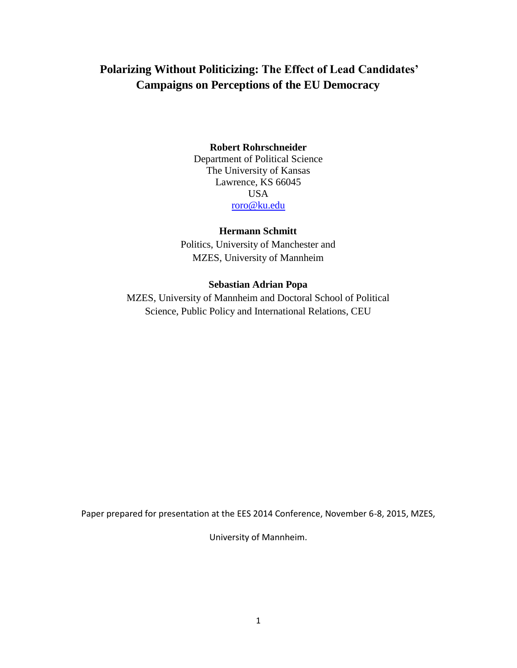# **Polarizing Without Politicizing: The Effect of Lead Candidates' Campaigns on Perceptions of the EU Democracy**

# **Robert Rohrschneider**

Department of Political Science The University of Kansas Lawrence, KS 66045 USA [roro@ku.edu](mailto:roro@ku.edu)

## **Hermann Schmitt**

Politics, University of Manchester and MZES, University of Mannheim

# **Sebastian Adrian Popa**

MZES, University of Mannheim and Doctoral School of Political Science, Public Policy and International Relations, CEU

Paper prepared for presentation at the EES 2014 Conference, November 6-8, 2015, MZES,

University of Mannheim.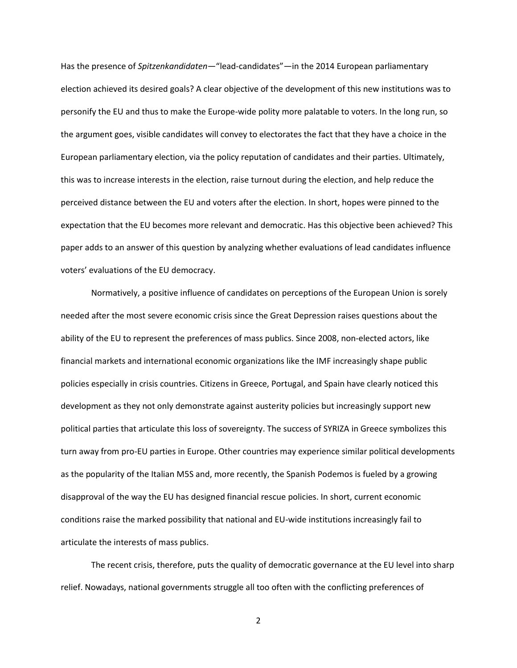Has the presence of *Spitzenkandidaten*—"lead-candidates"—in the 2014 European parliamentary election achieved its desired goals? A clear objective of the development of this new institutions was to personify the EU and thus to make the Europe-wide polity more palatable to voters. In the long run, so the argument goes, visible candidates will convey to electorates the fact that they have a choice in the European parliamentary election, via the policy reputation of candidates and their parties. Ultimately, this was to increase interests in the election, raise turnout during the election, and help reduce the perceived distance between the EU and voters after the election. In short, hopes were pinned to the expectation that the EU becomes more relevant and democratic. Has this objective been achieved? This paper adds to an answer of this question by analyzing whether evaluations of lead candidates influence voters' evaluations of the EU democracy.

Normatively, a positive influence of candidates on perceptions of the European Union is sorely needed after the most severe economic crisis since the Great Depression raises questions about the ability of the EU to represent the preferences of mass publics. Since 2008, non-elected actors, like financial markets and international economic organizations like the IMF increasingly shape public policies especially in crisis countries. Citizens in Greece, Portugal, and Spain have clearly noticed this development as they not only demonstrate against austerity policies but increasingly support new political parties that articulate this loss of sovereignty. The success of SYRIZA in Greece symbolizes this turn away from pro-EU parties in Europe. Other countries may experience similar political developments as the popularity of the Italian M5S and, more recently, the Spanish Podemos is fueled by a growing disapproval of the way the EU has designed financial rescue policies. In short, current economic conditions raise the marked possibility that national and EU-wide institutions increasingly fail to articulate the interests of mass publics.

The recent crisis, therefore, puts the quality of democratic governance at the EU level into sharp relief. Nowadays, national governments struggle all too often with the conflicting preferences of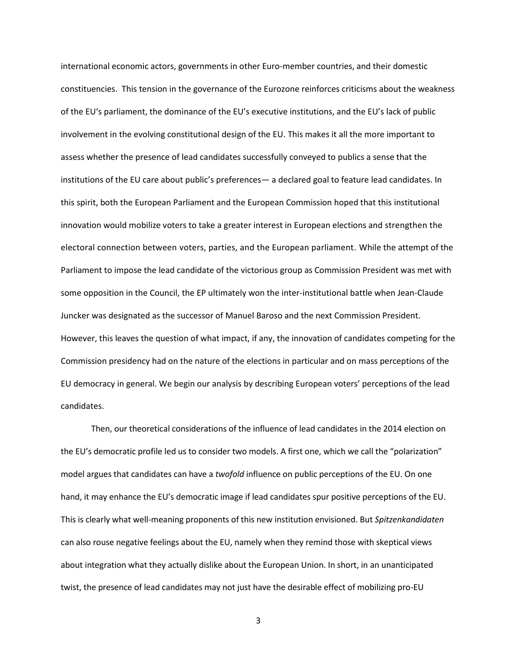international economic actors, governments in other Euro-member countries, and their domestic constituencies. This tension in the governance of the Eurozone reinforces criticisms about the weakness of the EU's parliament, the dominance of the EU's executive institutions, and the EU's lack of public involvement in the evolving constitutional design of the EU. This makes it all the more important to assess whether the presence of lead candidates successfully conveyed to publics a sense that the institutions of the EU care about public's preferences— a declared goal to feature lead candidates. In this spirit, both the European Parliament and the European Commission hoped that this institutional innovation would mobilize voters to take a greater interest in European elections and strengthen the electoral connection between voters, parties, and the European parliament. While the attempt of the Parliament to impose the lead candidate of the victorious group as Commission President was met with some opposition in the Council, the EP ultimately won the inter-institutional battle when Jean-Claude Juncker was designated as the successor of Manuel Baroso and the next Commission President. However, this leaves the question of what impact, if any, the innovation of candidates competing for the Commission presidency had on the nature of the elections in particular and on mass perceptions of the EU democracy in general. We begin our analysis by describing European voters' perceptions of the lead candidates.

Then, our theoretical considerations of the influence of lead candidates in the 2014 election on the EU's democratic profile led us to consider two models. A first one, which we call the "polarization" model argues that candidates can have a *twofold* influence on public perceptions of the EU. On one hand, it may enhance the EU's democratic image if lead candidates spur positive perceptions of the EU. This is clearly what well-meaning proponents of this new institution envisioned. But *Spitzenkandidaten* can also rouse negative feelings about the EU, namely when they remind those with skeptical views about integration what they actually dislike about the European Union. In short, in an unanticipated twist, the presence of lead candidates may not just have the desirable effect of mobilizing pro-EU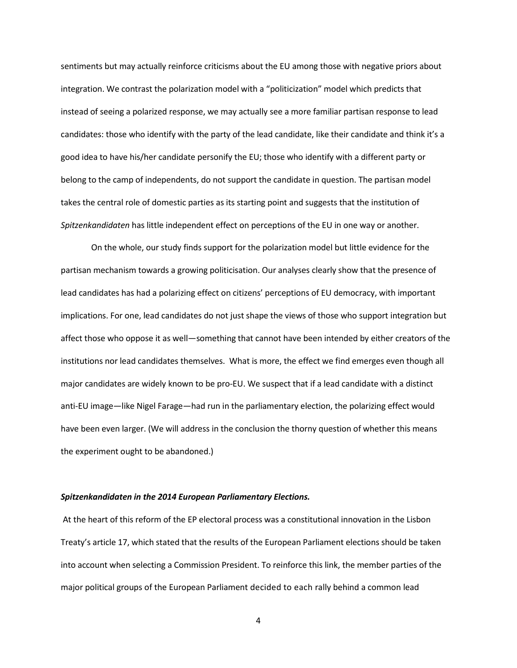sentiments but may actually reinforce criticisms about the EU among those with negative priors about integration. We contrast the polarization model with a "politicization" model which predicts that instead of seeing a polarized response, we may actually see a more familiar partisan response to lead candidates: those who identify with the party of the lead candidate, like their candidate and think it's a good idea to have his/her candidate personify the EU; those who identify with a different party or belong to the camp of independents, do not support the candidate in question. The partisan model takes the central role of domestic parties as its starting point and suggests that the institution of *Spitzenkandidaten* has little independent effect on perceptions of the EU in one way or another.

On the whole, our study finds support for the polarization model but little evidence for the partisan mechanism towards a growing politicisation. Our analyses clearly show that the presence of lead candidates has had a polarizing effect on citizens' perceptions of EU democracy, with important implications. For one, lead candidates do not just shape the views of those who support integration but affect those who oppose it as well—something that cannot have been intended by either creators of the institutions nor lead candidates themselves. What is more, the effect we find emerges even though all major candidates are widely known to be pro-EU. We suspect that if a lead candidate with a distinct anti-EU image—like Nigel Farage—had run in the parliamentary election, the polarizing effect would have been even larger. (We will address in the conclusion the thorny question of whether this means the experiment ought to be abandoned.)

### *Spitzenkandidaten in the 2014 European Parliamentary Elections.*

At the heart of this reform of the EP electoral process was a constitutional innovation in the Lisbon Treaty's article 17, which stated that the results of the European Parliament elections should be taken into account when selecting a Commission President. To reinforce this link, the member parties of the major political groups of the European Parliament decided to each rally behind a common lead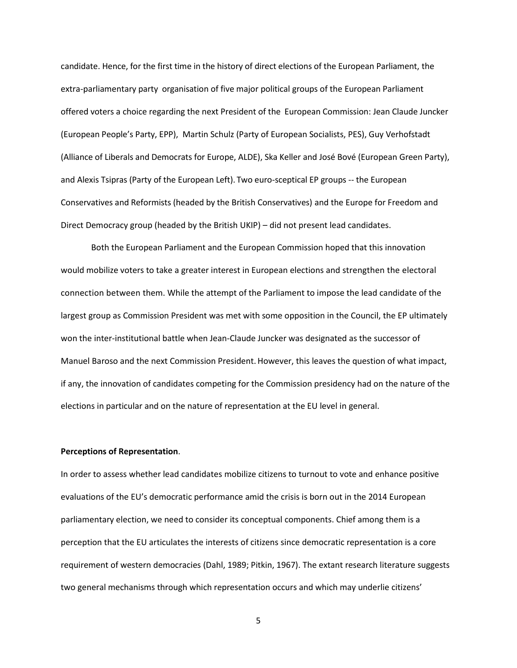candidate. Hence, for the first time in the history of direct elections of the European Parliament, the extra-parliamentary party organisation of five major political groups of the European Parliament offered voters a choice regarding the next President of the European Commission: Jean Claude Juncker (European People's Party, EPP), Martin Schulz (Party of European Socialists, PES), Guy Verhofstadt (Alliance of Liberals and Democrats for Europe, ALDE), Ska Keller and José Bové (European Green Party), and Alexis Tsipras (Party of the European Left). Two euro-sceptical EP groups -- the European Conservatives and Reformists (headed by the British Conservatives) and the Europe for Freedom and Direct Democracy group (headed by the British UKIP) – did not present lead candidates.

Both the European Parliament and the European Commission hoped that this innovation would mobilize voters to take a greater interest in European elections and strengthen the electoral connection between them. While the attempt of the Parliament to impose the lead candidate of the largest group as Commission President was met with some opposition in the Council, the EP ultimately won the inter-institutional battle when Jean-Claude Juncker was designated as the successor of Manuel Baroso and the next Commission President. However, this leaves the question of what impact, if any, the innovation of candidates competing for the Commission presidency had on the nature of the elections in particular and on the nature of representation at the EU level in general.

### **Perceptions of Representation**.

In order to assess whether lead candidates mobilize citizens to turnout to vote and enhance positive evaluations of the EU's democratic performance amid the crisis is born out in the 2014 European parliamentary election, we need to consider its conceptual components. Chief among them is a perception that the EU articulates the interests of citizens since democratic representation is a core requirement of western democracies (Dahl, 1989; Pitkin, 1967). The extant research literature suggests two general mechanisms through which representation occurs and which may underlie citizens'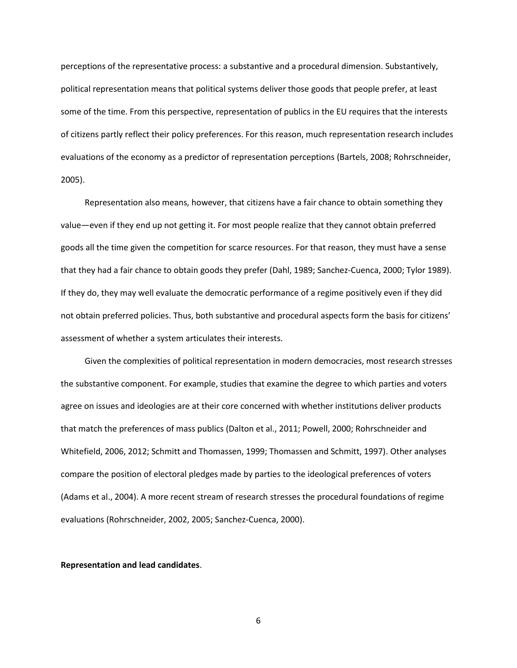perceptions of the representative process: a substantive and a procedural dimension. Substantively, political representation means that political systems deliver those goods that people prefer, at least some of the time. From this perspective, representation of publics in the EU requires that the interests of citizens partly reflect their policy preferences. For this reason, much representation research includes evaluations of the economy as a predictor of representation perceptions (Bartels, 2008; Rohrschneider, 2005).

Representation also means, however, that citizens have a fair chance to obtain something they value—even if they end up not getting it. For most people realize that they cannot obtain preferred goods all the time given the competition for scarce resources. For that reason, they must have a sense that they had a fair chance to obtain goods they prefer (Dahl, 1989; Sanchez-Cuenca, 2000; Tylor 1989). If they do, they may well evaluate the democratic performance of a regime positively even if they did not obtain preferred policies. Thus, both substantive and procedural aspects form the basis for citizens' assessment of whether a system articulates their interests.

Given the complexities of political representation in modern democracies, most research stresses the substantive component. For example, studies that examine the degree to which parties and voters agree on issues and ideologies are at their core concerned with whether institutions deliver products that match the preferences of mass publics (Dalton et al., 2011; Powell, 2000; Rohrschneider and Whitefield, 2006, 2012; Schmitt and Thomassen, 1999; Thomassen and Schmitt, 1997). Other analyses compare the position of electoral pledges made by parties to the ideological preferences of voters (Adams et al., 2004). A more recent stream of research stresses the procedural foundations of regime evaluations (Rohrschneider, 2002, 2005; Sanchez-Cuenca, 2000).

### **Representation and lead candidates**.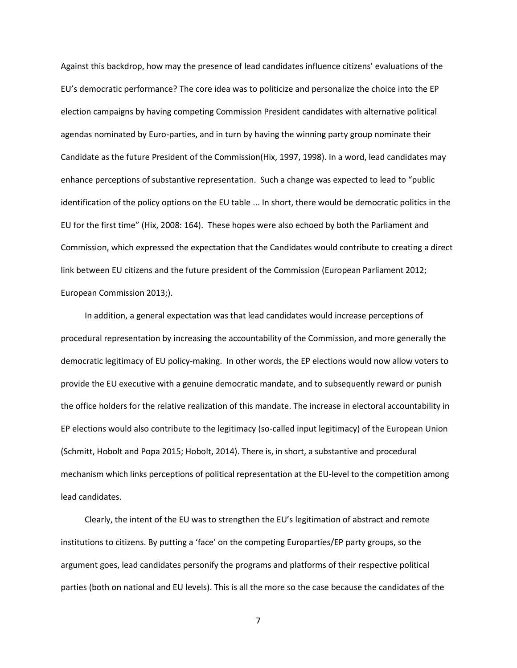Against this backdrop, how may the presence of lead candidates influence citizens' evaluations of the EU's democratic performance? The core idea was to politicize and personalize the choice into the EP election campaigns by having competing Commission President candidates with alternative political agendas nominated by Euro-parties, and in turn by having the winning party group nominate their Candidate as the future President of the Commission(Hix, 1997, 1998). In a word, lead candidates may enhance perceptions of substantive representation. Such a change was expected to lead to "public identification of the policy options on the EU table ... In short, there would be democratic politics in the EU for the first time" (Hix, 2008: 164). These hopes were also echoed by both the Parliament and Commission, which expressed the expectation that the Candidates would contribute to creating a direct link between EU citizens and the future president of the Commission (European Parliament 2012; European Commission 2013;).

In addition, a general expectation was that lead candidates would increase perceptions of procedural representation by increasing the accountability of the Commission, and more generally the democratic legitimacy of EU policy-making. In other words, the EP elections would now allow voters to provide the EU executive with a genuine democratic mandate, and to subsequently reward or punish the office holders for the relative realization of this mandate. The increase in electoral accountability in EP elections would also contribute to the legitimacy (so-called input legitimacy) of the European Union (Schmitt, Hobolt and Popa 2015; Hobolt, 2014). There is, in short, a substantive and procedural mechanism which links perceptions of political representation at the EU-level to the competition among lead candidates.

Clearly, the intent of the EU was to strengthen the EU's legitimation of abstract and remote institutions to citizens. By putting a 'face' on the competing Europarties/EP party groups, so the argument goes, lead candidates personify the programs and platforms of their respective political parties (both on national and EU levels). This is all the more so the case because the candidates of the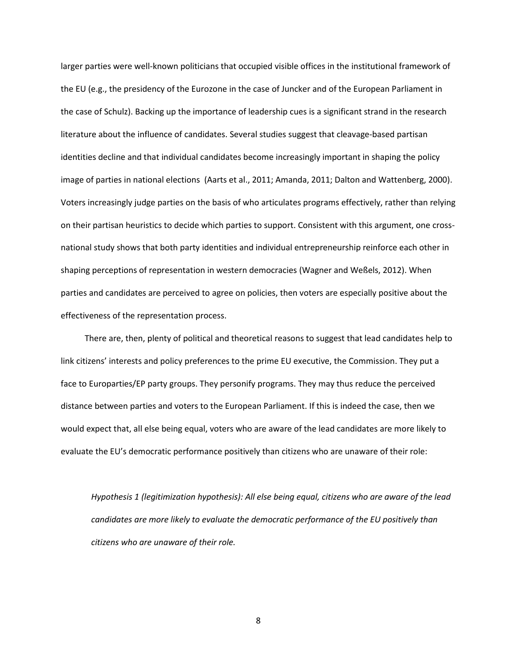larger parties were well-known politicians that occupied visible offices in the institutional framework of the EU (e.g., the presidency of the Eurozone in the case of Juncker and of the European Parliament in the case of Schulz). Backing up the importance of leadership cues is a significant strand in the research literature about the influence of candidates. Several studies suggest that cleavage-based partisan identities decline and that individual candidates become increasingly important in shaping the policy image of parties in national elections (Aarts et al., 2011; Amanda, 2011; Dalton and Wattenberg, 2000). Voters increasingly judge parties on the basis of who articulates programs effectively, rather than relying on their partisan heuristics to decide which parties to support. Consistent with this argument, one crossnational study shows that both party identities and individual entrepreneurship reinforce each other in shaping perceptions of representation in western democracies (Wagner and Weßels, 2012). When parties and candidates are perceived to agree on policies, then voters are especially positive about the effectiveness of the representation process.

There are, then, plenty of political and theoretical reasons to suggest that lead candidates help to link citizens' interests and policy preferences to the prime EU executive, the Commission. They put a face to Europarties/EP party groups. They personify programs. They may thus reduce the perceived distance between parties and voters to the European Parliament. If this is indeed the case, then we would expect that, all else being equal, voters who are aware of the lead candidates are more likely to evaluate the EU's democratic performance positively than citizens who are unaware of their role:

*Hypothesis 1 (legitimization hypothesis): All else being equal, citizens who are aware of the lead candidates are more likely to evaluate the democratic performance of the EU positively than citizens who are unaware of their role.*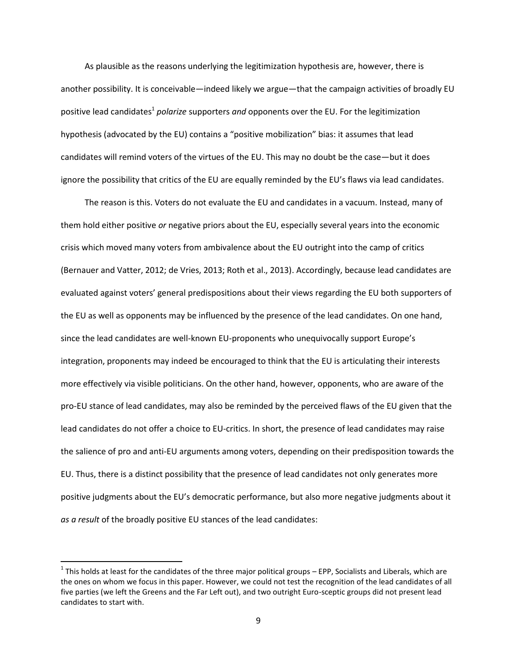As plausible as the reasons underlying the legitimization hypothesis are, however, there is another possibility. It is conceivable—indeed likely we argue—that the campaign activities of broadly EU positive lead candidates<sup>1</sup> polarize supporters and opponents over the EU. For the legitimization hypothesis (advocated by the EU) contains a "positive mobilization" bias: it assumes that lead candidates will remind voters of the virtues of the EU. This may no doubt be the case—but it does ignore the possibility that critics of the EU are equally reminded by the EU's flaws via lead candidates.

The reason is this. Voters do not evaluate the EU and candidates in a vacuum. Instead, many of them hold either positive *or* negative priors about the EU, especially several years into the economic crisis which moved many voters from ambivalence about the EU outright into the camp of critics (Bernauer and Vatter, 2012; de Vries, 2013; Roth et al., 2013). Accordingly, because lead candidates are evaluated against voters' general predispositions about their views regarding the EU both supporters of the EU as well as opponents may be influenced by the presence of the lead candidates. On one hand, since the lead candidates are well-known EU-proponents who unequivocally support Europe's integration, proponents may indeed be encouraged to think that the EU is articulating their interests more effectively via visible politicians. On the other hand, however, opponents, who are aware of the pro-EU stance of lead candidates, may also be reminded by the perceived flaws of the EU given that the lead candidates do not offer a choice to EU-critics. In short, the presence of lead candidates may raise the salience of pro and anti-EU arguments among voters, depending on their predisposition towards the EU. Thus, there is a distinct possibility that the presence of lead candidates not only generates more positive judgments about the EU's democratic performance, but also more negative judgments about it *as a result* of the broadly positive EU stances of the lead candidates:

 $\overline{a}$ 

 $^1$  This holds at least for the candidates of the three major political groups – EPP, Socialists and Liberals, which are the ones on whom we focus in this paper. However, we could not test the recognition of the lead candidates of all five parties (we left the Greens and the Far Left out), and two outright Euro-sceptic groups did not present lead candidates to start with.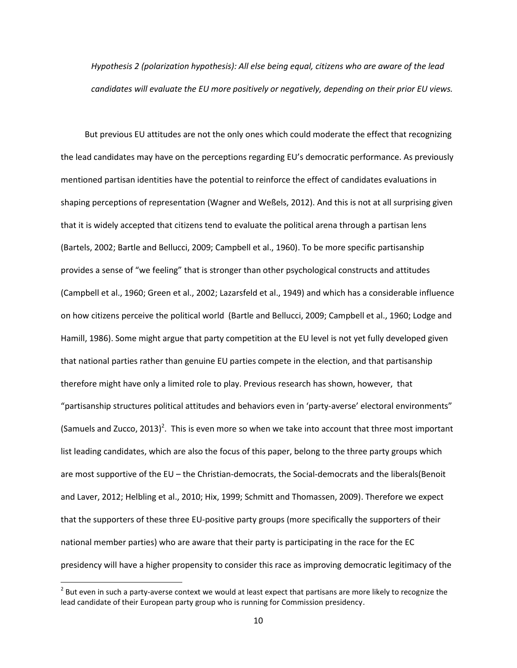*Hypothesis 2 (polarization hypothesis): All else being equal, citizens who are aware of the lead candidates will evaluate the EU more positively or negatively, depending on their prior EU views.*

But previous EU attitudes are not the only ones which could moderate the effect that recognizing the lead candidates may have on the perceptions regarding EU's democratic performance. As previously mentioned partisan identities have the potential to reinforce the effect of candidates evaluations in shaping perceptions of representation (Wagner and Weßels, 2012). And this is not at all surprising given that it is widely accepted that citizens tend to evaluate the political arena through a partisan lens (Bartels, 2002; Bartle and Bellucci, 2009; Campbell et al., 1960). To be more specific partisanship provides a sense of "we feeling" that is stronger than other psychological constructs and attitudes (Campbell et al., 1960; Green et al., 2002; Lazarsfeld et al., 1949) and which has a considerable influence on how citizens perceive the political world (Bartle and Bellucci, 2009; Campbell et al., 1960; Lodge and Hamill, 1986). Some might argue that party competition at the EU level is not yet fully developed given that national parties rather than genuine EU parties compete in the election, and that partisanship therefore might have only a limited role to play. Previous research has shown, however, that "partisanship structures political attitudes and behaviors even in 'party-averse' electoral environments" (Samuels and Zucco, 2013)<sup>2</sup>. This is even more so when we take into account that three most important list leading candidates, which are also the focus of this paper, belong to the three party groups which are most supportive of the EU – the Christian-democrats, the Social-democrats and the liberals(Benoit and Laver, 2012; Helbling et al., 2010; Hix, 1999; Schmitt and Thomassen, 2009). Therefore we expect that the supporters of these three EU-positive party groups (more specifically the supporters of their national member parties) who are aware that their party is participating in the race for the EC presidency will have a higher propensity to consider this race as improving democratic legitimacy of the

l

 $^2$  But even in such a party-averse context we would at least expect that partisans are more likely to recognize the lead candidate of their European party group who is running for Commission presidency.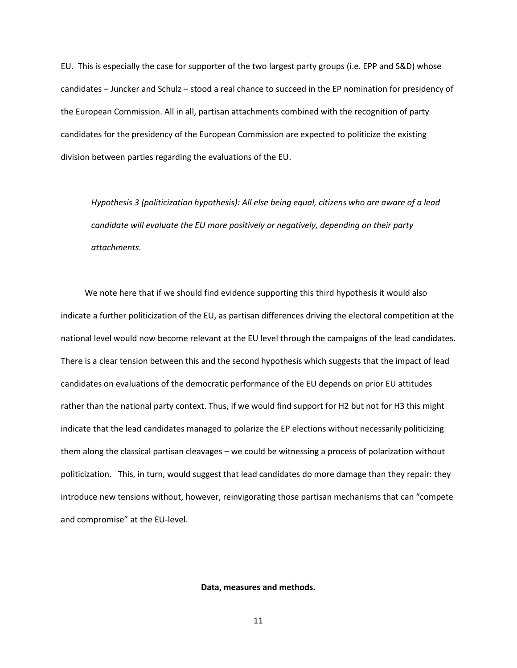EU. This is especially the case for supporter of the two largest party groups (i.e. EPP and S&D) whose candidates – Juncker and Schulz – stood a real chance to succeed in the EP nomination for presidency of the European Commission. All in all, partisan attachments combined with the recognition of party candidates for the presidency of the European Commission are expected to politicize the existing division between parties regarding the evaluations of the EU.

*Hypothesis 3 (politicization hypothesis): All else being equal, citizens who are aware of a lead candidate will evaluate the EU more positively or negatively, depending on their party attachments.*

We note here that if we should find evidence supporting this third hypothesis it would also indicate a further politicization of the EU, as partisan differences driving the electoral competition at the national level would now become relevant at the EU level through the campaigns of the lead candidates. There is a clear tension between this and the second hypothesis which suggests that the impact of lead candidates on evaluations of the democratic performance of the EU depends on prior EU attitudes rather than the national party context. Thus, if we would find support for H2 but not for H3 this might indicate that the lead candidates managed to polarize the EP elections without necessarily politicizing them along the classical partisan cleavages – we could be witnessing a process of polarization without politicization. This, in turn, would suggest that lead candidates do more damage than they repair: they introduce new tensions without, however, reinvigorating those partisan mechanisms that can "compete and compromise" at the EU-level.

#### **Data, measures and methods.**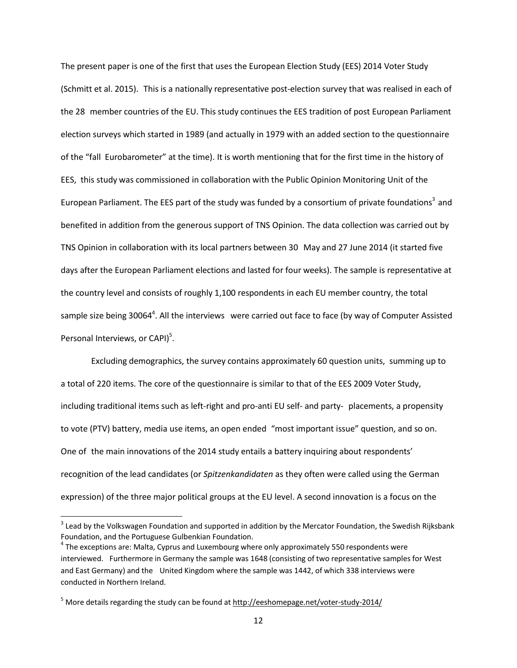The present paper is one of the first that uses the European Election Study (EES) 2014 Voter Study (Schmitt et al. 2015). This is a nationally representative post-election survey that was realised in each of the 28 member countries of the EU. This study continues the EES tradition of post European Parliament election surveys which started in 1989 (and actually in 1979 with an added section to the questionnaire of the "fall Eurobarometer" at the time). It is worth mentioning that for the first time in the history of EES, this study was commissioned in collaboration with the Public Opinion Monitoring Unit of the European Parliament. The EES part of the study was funded by a consortium of private foundations<sup>3</sup> and benefited in addition from the generous support of TNS Opinion. The data collection was carried out by TNS Opinion in collaboration with its local partners between 30 May and 27 June 2014 (it started five days after the European Parliament elections and lasted for four weeks). The sample is representative at the country level and consists of roughly 1,100 respondents in each EU member country, the total sample size being 30064<sup>4</sup>. All the interviews were carried out face to face (by way of Computer Assisted Personal Interviews, or CAPI)<sup>5</sup>.

Excluding demographics, the survey contains approximately 60 question units, summing up to a total of 220 items. The core of the questionnaire is similar to that of the EES 2009 Voter Study, including traditional items such as left-right and pro-anti EU self- and party- placements, a propensity to vote (PTV) battery, media use items, an open ended "most important issue" question, and so on. One of the main innovations of the 2014 study entails a battery inquiring about respondents' recognition of the lead candidates (or *Spitzenkandidaten* as they often were called using the German expression) of the three major political groups at the EU level. A second innovation is a focus on the

l

 $^3$  Lead by the Volkswagen Foundation and supported in addition by the Mercator Foundation, the Swedish Rijksbank Foundation, and the Portuguese Gulbenkian Foundation.

 $^4$  The exceptions are: Malta, Cyprus and Luxembourg where only approximately 550 respondents were interviewed. Furthermore in Germany the sample was 1648 (consisting of two representative samples for West and East Germany) and the United Kingdom where the sample was 1442, of which 338 interviews were conducted in Northern Ireland.

 $5$  More details regarding the study can be found at <http://eeshomepage.net/voter-study-2014/>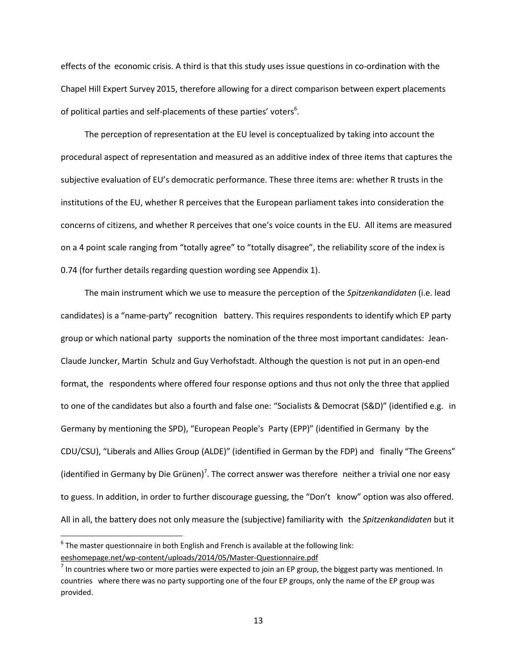effects of the economic crisis. A third is that this study uses issue questions in co-ordination with the Chapel Hill Expert Survey 2015, therefore allowing for a direct comparison between expert placements of political parties and self-placements of these parties' voters $^6$ .

The perception of representation at the EU level is conceptualized by taking into account the procedural aspect of representation and measured as an additive index of three items that captures the subjective evaluation of EU's democratic performance. These three items are: whether R trusts in the institutions of the EU, whether R perceives that the European parliament takes into consideration the concerns of citizens, and whether R perceives that one's voice counts in the EU. All items are measured on a 4 point scale ranging from "totally agree" to "totally disagree", the reliability score of the index is 0.74 (for further details regarding question wording see Appendix 1).

The main instrument which we use to measure the perception of the *Spitzenkandidaten* (i.e. lead candidates) is a "name-party" recognition battery. This requires respondents to identify which EP party group or which national party supports the nomination of the three most important candidates: Jean-Claude Juncker, Martin Schulz and Guy Verhofstadt. Although the question is not put in an open-end format, the respondents where offered four response options and thus not only the three that applied to one of the candidates but also a fourth and false one: "Socialists & Democrat (S&D)" (identified e.g. in Germany by mentioning the SPD), "European People's Party (EPP)" (identified in Germany by the CDU/CSU), "Liberals and Allies Group (ALDE)" (identified in German by the FDP) and finally "The Greens" (identified in Germany by Die Grünen)<sup>7</sup>. The correct answer was therefore neither a trivial one nor easy to guess. In addition, in order to further discourage guessing, the "Don't know" option was also offered. All in all, the battery does not only measure the (subjective) familiarity with the *Spitzenkandidaten* but it

 $\overline{a}$ 

 $^6$  The master questionnaire in both English and French is available at the following link: [eeshomepage.net/wp-content/uploads/2014/05/Master-Questionnaire.pdf](http://eeshomepage.net/wp-content/uploads/2014/05/Master-Questionnaire.pdf)

 $^7$  In countries where two or more parties were expected to join an EP group, the biggest party was mentioned. In countries where there was no party supporting one of the four EP groups, only the name of the EP group was provided.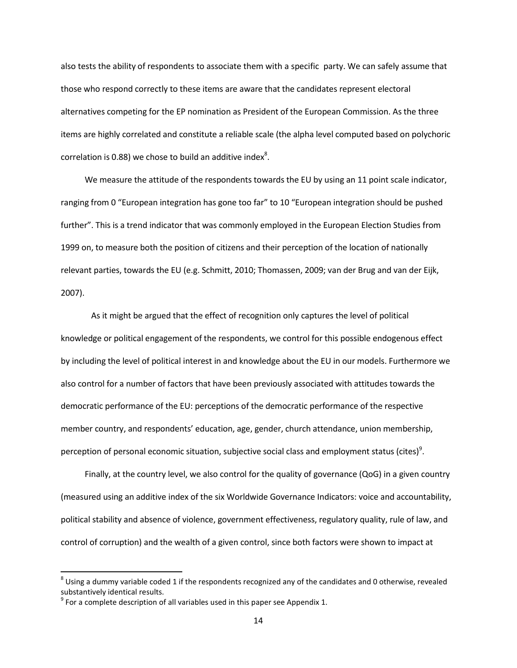also tests the ability of respondents to associate them with a specific party. We can safely assume that those who respond correctly to these items are aware that the candidates represent electoral alternatives competing for the EP nomination as President of the European Commission. As the three items are highly correlated and constitute a reliable scale (the alpha level computed based on polychoric correlation is 0.88) we chose to build an additive index<sup>8</sup>.

We measure the attitude of the respondents towards the EU by using an 11 point scale indicator, ranging from 0 "European integration has gone too far" to 10 "European integration should be pushed further". This is a trend indicator that was commonly employed in the European Election Studies from 1999 on, to measure both the position of citizens and their perception of the location of nationally relevant parties, towards the EU (e.g. Schmitt, 2010; Thomassen, 2009; van der Brug and van der Eijk, 2007).

As it might be argued that the effect of recognition only captures the level of political knowledge or political engagement of the respondents, we control for this possible endogenous effect by including the level of political interest in and knowledge about the EU in our models. Furthermore we also control for a number of factors that have been previously associated with attitudes towards the democratic performance of the EU: perceptions of the democratic performance of the respective member country, and respondents' education, age, gender, church attendance, union membership, perception of personal economic situation, subjective social class and employment status (cites)<sup>9</sup>.

Finally, at the country level, we also control for the quality of governance (QoG) in a given country (measured using an additive index of the six Worldwide Governance Indicators: voice and accountability, political stability and absence of violence, government effectiveness, regulatory quality, rule of law, and control of corruption) and the wealth of a given control, since both factors were shown to impact at

 $\overline{\phantom{a}}$ 

 $^8$  Using a dummy variable coded 1 if the respondents recognized any of the candidates and 0 otherwise, revealed substantively identical results.

 $9$  For a complete description of all variables used in this paper see Appendix 1.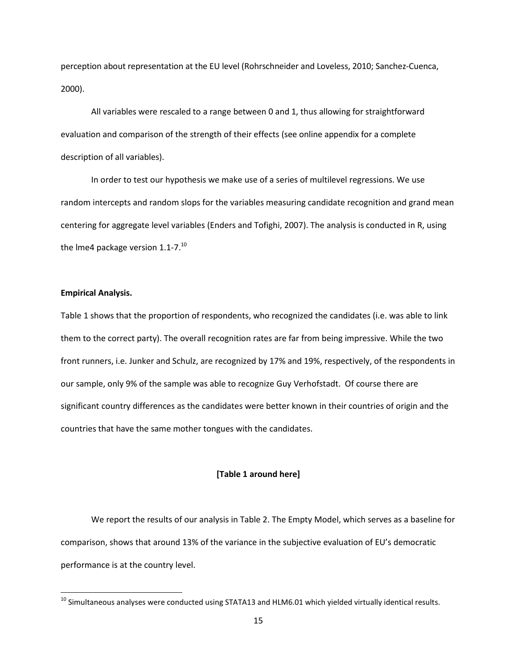perception about representation at the EU level (Rohrschneider and Loveless, 2010; Sanchez-Cuenca, 2000).

All variables were rescaled to a range between 0 and 1, thus allowing for straightforward evaluation and comparison of the strength of their effects (see online appendix for a complete description of all variables).

In order to test our hypothesis we make use of a series of multilevel regressions. We use random intercepts and random slops for the variables measuring candidate recognition and grand mean centering for aggregate level variables (Enders and Tofighi, 2007). The analysis is conducted in R, using the Ime4 package version 1.1-7.<sup>10</sup>

### **Empirical Analysis.**

 $\overline{\phantom{a}}$ 

Table 1 shows that the proportion of respondents, who recognized the candidates (i.e. was able to link them to the correct party). The overall recognition rates are far from being impressive. While the two front runners, i.e. Junker and Schulz, are recognized by 17% and 19%, respectively, of the respondents in our sample, only 9% of the sample was able to recognize Guy Verhofstadt. Of course there are significant country differences as the candidates were better known in their countries of origin and the countries that have the same mother tongues with the candidates.

### **[Table 1 around here]**

We report the results of our analysis in Table 2. The Empty Model, which serves as a baseline for comparison, shows that around 13% of the variance in the subjective evaluation of EU's democratic performance is at the country level.

 $10$  Simultaneous analyses were conducted using STATA13 and HLM6.01 which yielded virtually identical results.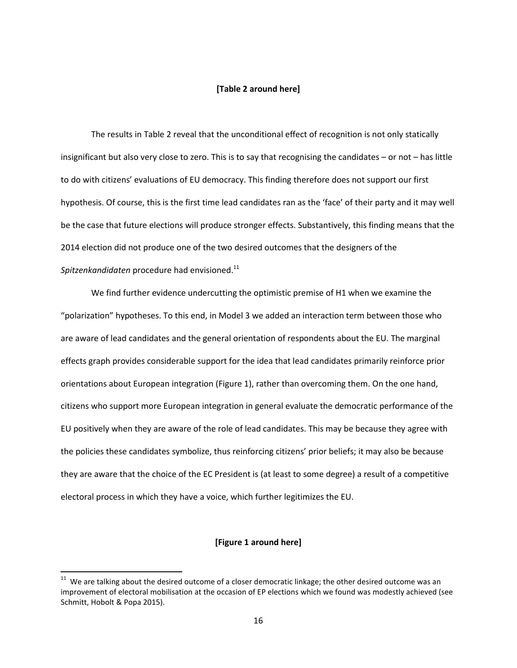### **[Table 2 around here]**

The results in Table 2 reveal that the unconditional effect of recognition is not only statically insignificant but also very close to zero. This is to say that recognising the candidates – or not – has little to do with citizens' evaluations of EU democracy. This finding therefore does not support our first hypothesis. Of course, this is the first time lead candidates ran as the 'face' of their party and it may well be the case that future elections will produce stronger effects. Substantively, this finding means that the 2014 election did not produce one of the two desired outcomes that the designers of the *Spitzenkandidaten* procedure had envisioned. 11

We find further evidence undercutting the optimistic premise of H1 when we examine the "polarization" hypotheses. To this end, in Model 3 we added an interaction term between those who are aware of lead candidates and the general orientation of respondents about the EU. The marginal effects graph provides considerable support for the idea that lead candidates primarily reinforce prior orientations about European integration (Figure 1), rather than overcoming them. On the one hand, citizens who support more European integration in general evaluate the democratic performance of the EU positively when they are aware of the role of lead candidates. This may be because they agree with the policies these candidates symbolize, thus reinforcing citizens' prior beliefs; it may also be because they are aware that the choice of the EC President is (at least to some degree) a result of a competitive electoral process in which they have a voice, which further legitimizes the EU.

### **[Figure 1 around here]**

 $\overline{\phantom{a}}$ 

 $11$  We are talking about the desired outcome of a closer democratic linkage; the other desired outcome was an improvement of electoral mobilisation at the occasion of EP elections which we found was modestly achieved (see Schmitt, Hobolt & Popa 2015).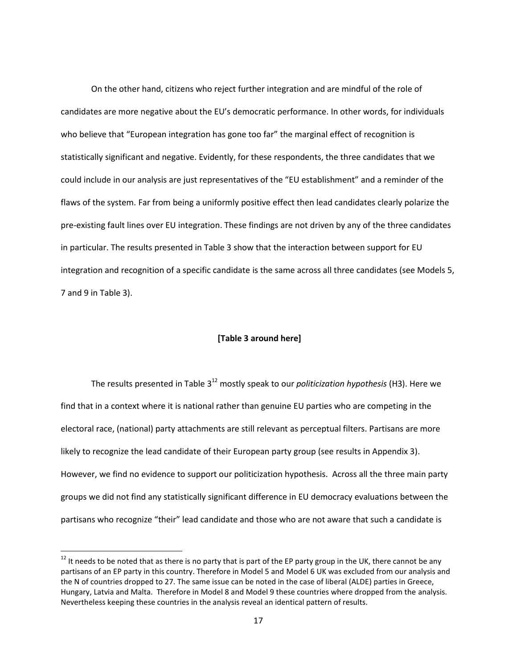On the other hand, citizens who reject further integration and are mindful of the role of candidates are more negative about the EU's democratic performance. In other words, for individuals who believe that "European integration has gone too far" the marginal effect of recognition is statistically significant and negative. Evidently, for these respondents, the three candidates that we could include in our analysis are just representatives of the "EU establishment" and a reminder of the flaws of the system. Far from being a uniformly positive effect then lead candidates clearly polarize the pre-existing fault lines over EU integration. These findings are not driven by any of the three candidates in particular. The results presented in Table 3 show that the interaction between support for EU integration and recognition of a specific candidate is the same across all three candidates (see Models 5, 7 and 9 in Table 3).

### **[Table 3 around here]**

The results presented in Table 3 <sup>12</sup> mostly speak to our *politicization hypothesis* (H3). Here we find that in a context where it is national rather than genuine EU parties who are competing in the electoral race, (national) party attachments are still relevant as perceptual filters. Partisans are more likely to recognize the lead candidate of their European party group (see results in Appendix 3). However, we find no evidence to support our politicization hypothesis. Across all the three main party groups we did not find any statistically significant difference in EU democracy evaluations between the partisans who recognize "their" lead candidate and those who are not aware that such a candidate is

l

 $12$  It needs to be noted that as there is no party that is part of the EP party group in the UK, there cannot be any partisans of an EP party in this country. Therefore in Model 5 and Model 6 UK was excluded from our analysis and the N of countries dropped to 27. The same issue can be noted in the case of liberal (ALDE) parties in Greece, Hungary, Latvia and Malta. Therefore in Model 8 and Model 9 these countries where dropped from the analysis. Nevertheless keeping these countries in the analysis reveal an identical pattern of results.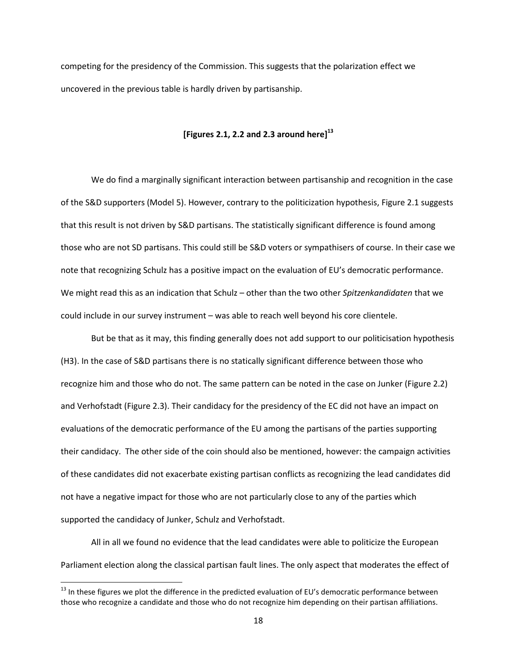competing for the presidency of the Commission. This suggests that the polarization effect we uncovered in the previous table is hardly driven by partisanship.

# **[Figures 2.1, 2.2 and 2.3 around here]<sup>13</sup>**

We do find a marginally significant interaction between partisanship and recognition in the case of the S&D supporters (Model 5). However, contrary to the politicization hypothesis, Figure 2.1 suggests that this result is not driven by S&D partisans. The statistically significant difference is found among those who are not SD partisans. This could still be S&D voters or sympathisers of course. In their case we note that recognizing Schulz has a positive impact on the evaluation of EU's democratic performance. We might read this as an indication that Schulz – other than the two other *Spitzenkandidaten* that we could include in our survey instrument – was able to reach well beyond his core clientele.

But be that as it may, this finding generally does not add support to our politicisation hypothesis (H3). In the case of S&D partisans there is no statically significant difference between those who recognize him and those who do not. The same pattern can be noted in the case on Junker (Figure 2.2) and Verhofstadt (Figure 2.3). Their candidacy for the presidency of the EC did not have an impact on evaluations of the democratic performance of the EU among the partisans of the parties supporting their candidacy. The other side of the coin should also be mentioned, however: the campaign activities of these candidates did not exacerbate existing partisan conflicts as recognizing the lead candidates did not have a negative impact for those who are not particularly close to any of the parties which supported the candidacy of Junker, Schulz and Verhofstadt.

All in all we found no evidence that the lead candidates were able to politicize the European Parliament election along the classical partisan fault lines. The only aspect that moderates the effect of

l

 $13$  In these figures we plot the difference in the predicted evaluation of EU's democratic performance between those who recognize a candidate and those who do not recognize him depending on their partisan affiliations.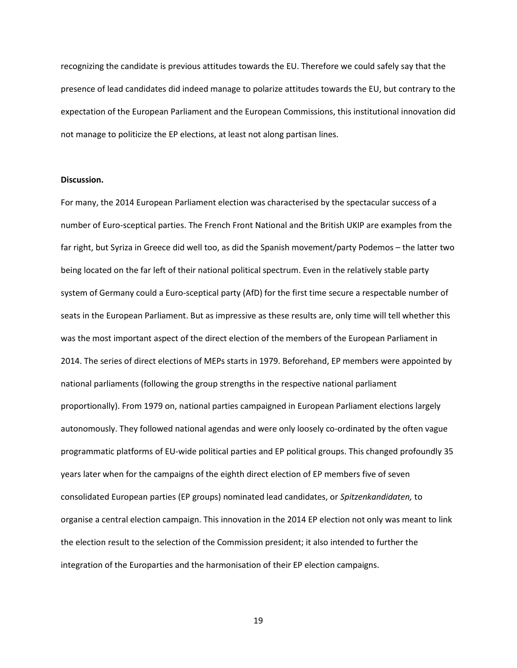recognizing the candidate is previous attitudes towards the EU. Therefore we could safely say that the presence of lead candidates did indeed manage to polarize attitudes towards the EU, but contrary to the expectation of the European Parliament and the European Commissions, this institutional innovation did not manage to politicize the EP elections, at least not along partisan lines.

#### **Discussion.**

For many, the 2014 European Parliament election was characterised by the spectacular success of a number of Euro-sceptical parties. The French Front National and the British UKIP are examples from the far right, but Syriza in Greece did well too, as did the Spanish movement/party Podemos – the latter two being located on the far left of their national political spectrum. Even in the relatively stable party system of Germany could a Euro-sceptical party (AfD) for the first time secure a respectable number of seats in the European Parliament. But as impressive as these results are, only time will tell whether this was the most important aspect of the direct election of the members of the European Parliament in 2014. The series of direct elections of MEPs starts in 1979. Beforehand, EP members were appointed by national parliaments (following the group strengths in the respective national parliament proportionally). From 1979 on, national parties campaigned in European Parliament elections largely autonomously. They followed national agendas and were only loosely co-ordinated by the often vague programmatic platforms of EU-wide political parties and EP political groups. This changed profoundly 35 years later when for the campaigns of the eighth direct election of EP members five of seven consolidated European parties (EP groups) nominated lead candidates, or *Spitzenkandidaten,* to organise a central election campaign. This innovation in the 2014 EP election not only was meant to link the election result to the selection of the Commission president; it also intended to further the integration of the Europarties and the harmonisation of their EP election campaigns.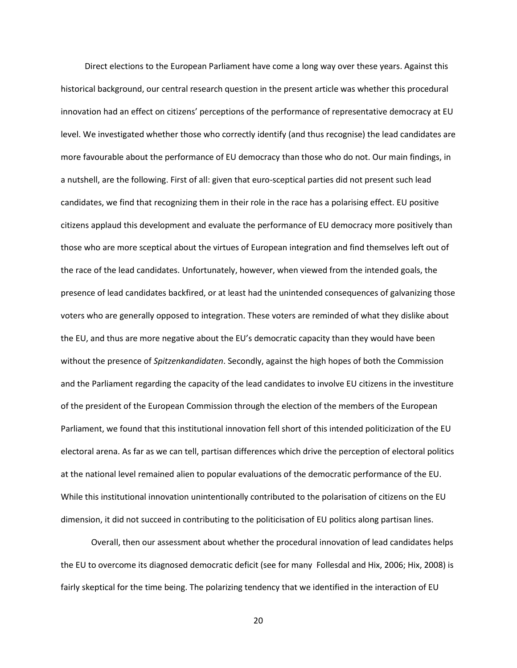Direct elections to the European Parliament have come a long way over these years. Against this historical background, our central research question in the present article was whether this procedural innovation had an effect on citizens' perceptions of the performance of representative democracy at EU level. We investigated whether those who correctly identify (and thus recognise) the lead candidates are more favourable about the performance of EU democracy than those who do not. Our main findings, in a nutshell, are the following. First of all: given that euro-sceptical parties did not present such lead candidates, we find that recognizing them in their role in the race has a polarising effect. EU positive citizens applaud this development and evaluate the performance of EU democracy more positively than those who are more sceptical about the virtues of European integration and find themselves left out of the race of the lead candidates. Unfortunately, however, when viewed from the intended goals, the presence of lead candidates backfired, or at least had the unintended consequences of galvanizing those voters who are generally opposed to integration. These voters are reminded of what they dislike about the EU, and thus are more negative about the EU's democratic capacity than they would have been without the presence of *Spitzenkandidaten*. Secondly, against the high hopes of both the Commission and the Parliament regarding the capacity of the lead candidates to involve EU citizens in the investiture of the president of the European Commission through the election of the members of the European Parliament, we found that this institutional innovation fell short of this intended politicization of the EU electoral arena. As far as we can tell, partisan differences which drive the perception of electoral politics at the national level remained alien to popular evaluations of the democratic performance of the EU. While this institutional innovation unintentionally contributed to the polarisation of citizens on the EU dimension, it did not succeed in contributing to the politicisation of EU politics along partisan lines.

Overall, then our assessment about whether the procedural innovation of lead candidates helps the EU to overcome its diagnosed democratic deficit (see for many Follesdal and Hix, 2006; Hix, 2008) is fairly skeptical for the time being. The polarizing tendency that we identified in the interaction of EU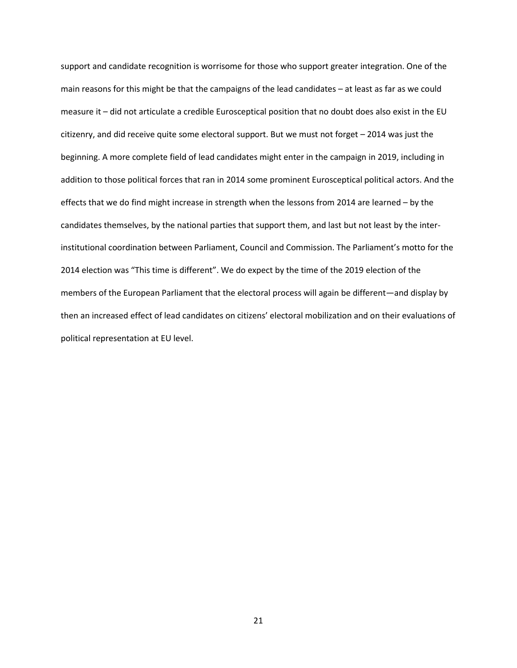support and candidate recognition is worrisome for those who support greater integration. One of the main reasons for this might be that the campaigns of the lead candidates – at least as far as we could measure it – did not articulate a credible Eurosceptical position that no doubt does also exist in the EU citizenry, and did receive quite some electoral support. But we must not forget – 2014 was just the beginning. A more complete field of lead candidates might enter in the campaign in 2019, including in addition to those political forces that ran in 2014 some prominent Eurosceptical political actors. And the effects that we do find might increase in strength when the lessons from 2014 are learned – by the candidates themselves, by the national parties that support them, and last but not least by the interinstitutional coordination between Parliament, Council and Commission. The Parliament's motto for the 2014 election was "This time is different". We do expect by the time of the 2019 election of the members of the European Parliament that the electoral process will again be different—and display by then an increased effect of lead candidates on citizens' electoral mobilization and on their evaluations of political representation at EU level.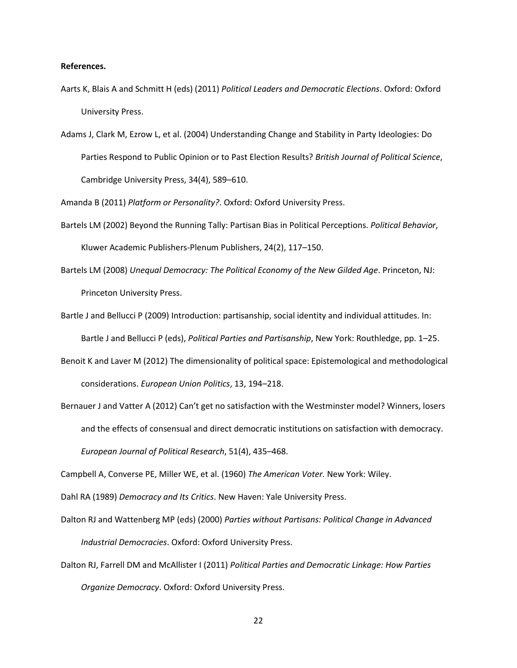### **References.**

- Aarts K, Blais A and Schmitt H (eds) (2011) *Political Leaders and Democratic Elections*. Oxford: Oxford University Press.
- Adams J, Clark M, Ezrow L, et al. (2004) Understanding Change and Stability in Party Ideologies: Do Parties Respond to Public Opinion or to Past Election Results? *British Journal of Political Science*, Cambridge University Press, 34(4), 589–610.

Amanda B (2011) *Platform or Personality?*. Oxford: Oxford University Press.

- Bartels LM (2002) Beyond the Running Tally: Partisan Bias in Political Perceptions. *Political Behavior*, Kluwer Academic Publishers-Plenum Publishers, 24(2), 117–150.
- Bartels LM (2008) *Unequal Democracy: The Political Economy of the New Gilded Age*. Princeton, NJ: Princeton University Press.
- Bartle J and Bellucci P (2009) Introduction: partisanship, social identity and individual attitudes. In: Bartle J and Bellucci P (eds), *Political Parties and Partisanship*, New York: Routhledge, pp. 1–25.
- Benoit K and Laver M (2012) The dimensionality of political space: Epistemological and methodological considerations. *European Union Politics*, 13, 194–218.
- Bernauer J and Vatter A (2012) Can't get no satisfaction with the Westminster model? Winners, losers and the effects of consensual and direct democratic institutions on satisfaction with democracy. *European Journal of Political Research*, 51(4), 435–468.

Campbell A, Converse PE, Miller WE, et al. (1960) *The American Voter.* New York: Wiley.

Dahl RA (1989) *Democracy and Its Critics*. New Haven: Yale University Press.

- Dalton RJ and Wattenberg MP (eds) (2000) *Parties without Partisans: Political Change in Advanced Industrial Democracies*. Oxford: Oxford University Press.
- Dalton RJ, Farrell DM and McAllister I (2011) *Political Parties and Democratic Linkage: How Parties Organize Democracy*. Oxford: Oxford University Press.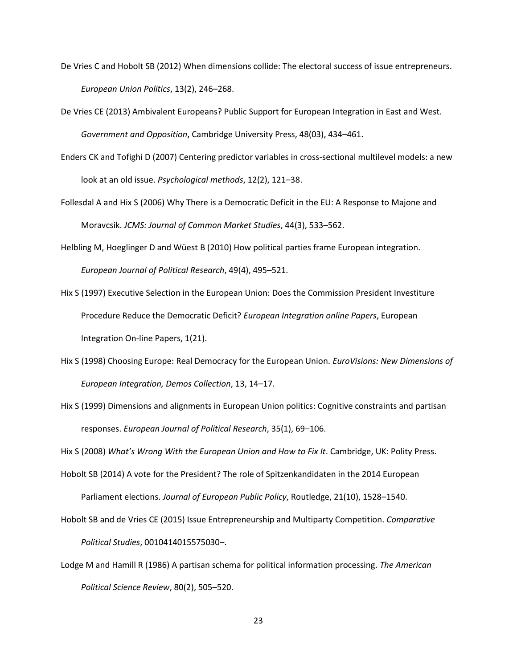- De Vries C and Hobolt SB (2012) When dimensions collide: The electoral success of issue entrepreneurs. *European Union Politics*, 13(2), 246–268.
- De Vries CE (2013) Ambivalent Europeans? Public Support for European Integration in East and West. *Government and Opposition*, Cambridge University Press, 48(03), 434–461.
- Enders CK and Tofighi D (2007) Centering predictor variables in cross-sectional multilevel models: a new look at an old issue. *Psychological methods*, 12(2), 121–38.
- Follesdal A and Hix S (2006) Why There is a Democratic Deficit in the EU: A Response to Majone and Moravcsik. *JCMS: Journal of Common Market Studies*, 44(3), 533–562.
- Helbling M, Hoeglinger D and Wüest B (2010) How political parties frame European integration. *European Journal of Political Research*, 49(4), 495–521.
- Hix S (1997) Executive Selection in the European Union: Does the Commission President Investiture Procedure Reduce the Democratic Deficit? *European Integration online Papers*, European Integration On‐line Papers, 1(21).
- Hix S (1998) Choosing Europe: Real Democracy for the European Union. *EuroVisions: New Dimensions of European Integration, Demos Collection*, 13, 14–17.
- Hix S (1999) Dimensions and alignments in European Union politics: Cognitive constraints and partisan responses. *European Journal of Political Research*, 35(1), 69–106.

Hix S (2008) *What's Wrong With the European Union and How to Fix It*. Cambridge, UK: Polity Press.

- Hobolt SB (2014) A vote for the President? The role of Spitzenkandidaten in the 2014 European Parliament elections. *Journal of European Public Policy*, Routledge, 21(10), 1528–1540.
- Hobolt SB and de Vries CE (2015) Issue Entrepreneurship and Multiparty Competition. *Comparative Political Studies*, 0010414015575030–.
- Lodge M and Hamill R (1986) A partisan schema for political information processing. *The American Political Science Review*, 80(2), 505–520.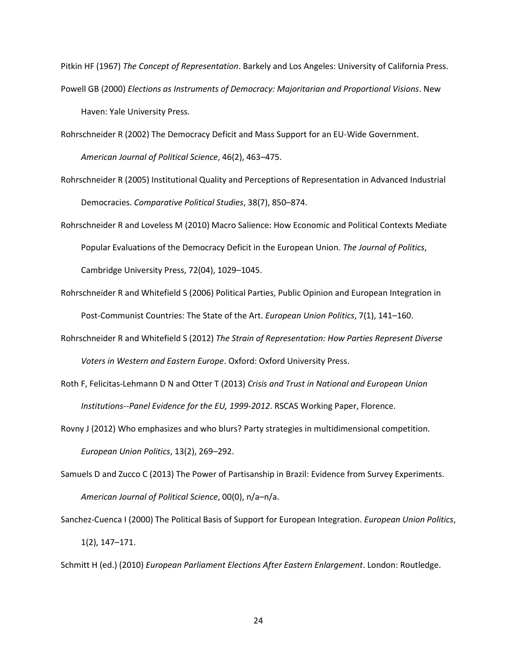Pitkin HF (1967) *The Concept of Representation*. Barkely and Los Angeles: University of California Press. Powell GB (2000) *Elections as Instruments of Democracy: Majoritarian and Proportional Visions*. New Haven: Yale University Press.

Rohrschneider R (2002) The Democracy Deficit and Mass Support for an EU-Wide Government. *American Journal of Political Science*, 46(2), 463–475.

- Rohrschneider R (2005) Institutional Quality and Perceptions of Representation in Advanced Industrial Democracies. *Comparative Political Studies*, 38(7), 850–874.
- Rohrschneider R and Loveless M (2010) Macro Salience: How Economic and Political Contexts Mediate Popular Evaluations of the Democracy Deficit in the European Union. *The Journal of Politics*, Cambridge University Press, 72(04), 1029–1045.
- Rohrschneider R and Whitefield S (2006) Political Parties, Public Opinion and European Integration in Post-Communist Countries: The State of the Art. *European Union Politics*, 7(1), 141–160.
- Rohrschneider R and Whitefield S (2012) *The Strain of Representation: How Parties Represent Diverse Voters in Western and Eastern Europe*. Oxford: Oxford University Press.
- Roth F, Felicitas-Lehmann D N and Otter T (2013) *Crisis and Trust in National and European Union Institutions--Panel Evidence for the EU, 1999-2012*. RSCAS Working Paper, Florence.
- Rovny J (2012) Who emphasizes and who blurs? Party strategies in multidimensional competition. *European Union Politics*, 13(2), 269–292.
- Samuels D and Zucco C (2013) The Power of Partisanship in Brazil: Evidence from Survey Experiments. *American Journal of Political Science*, 00(0), n/a–n/a.

Sanchez-Cuenca I (2000) The Political Basis of Support for European Integration. *European Union Politics*, 1(2), 147–171.

Schmitt H (ed.) (2010) *European Parliament Elections After Eastern Enlargement*. London: Routledge.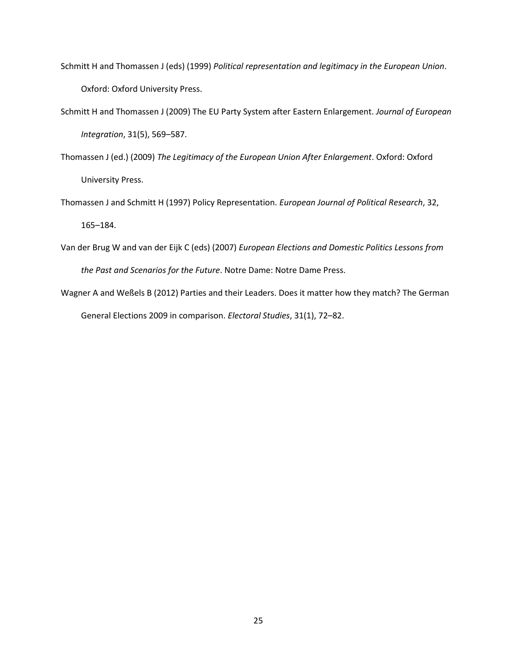- Schmitt H and Thomassen J (eds) (1999) *Political representation and legitimacy in the European Union*. Oxford: Oxford University Press.
- Schmitt H and Thomassen J (2009) The EU Party System after Eastern Enlargement. *Journal of European Integration*, 31(5), 569–587.
- Thomassen J (ed.) (2009) *The Legitimacy of the European Union After Enlargement*. Oxford: Oxford University Press.
- Thomassen J and Schmitt H (1997) Policy Representation. *European Journal of Political Research*, 32,

165–184.

- Van der Brug W and van der Eijk C (eds) (2007) *European Elections and Domestic Politics Lessons from the Past and Scenarios for the Future*. Notre Dame: Notre Dame Press.
- Wagner A and Weßels B (2012) Parties and their Leaders. Does it matter how they match? The German General Elections 2009 in comparison. *Electoral Studies*, 31(1), 72–82.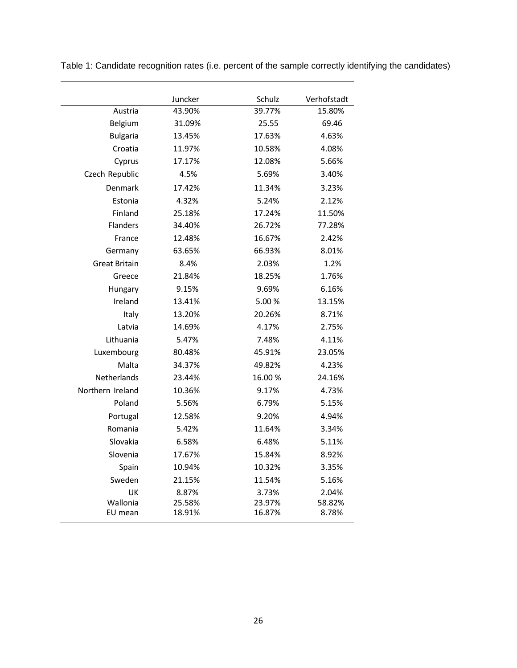|                      | Juncker | Schulz | Verhofstadt |
|----------------------|---------|--------|-------------|
| Austria              | 43.90%  | 39.77% | 15.80%      |
| Belgium              | 31.09%  | 25.55  | 69.46       |
| <b>Bulgaria</b>      | 13.45%  | 17.63% | 4.63%       |
| Croatia              | 11.97%  | 10.58% | 4.08%       |
| Cyprus               | 17.17%  | 12.08% | 5.66%       |
| Czech Republic       | 4.5%    | 5.69%  | 3.40%       |
| Denmark              | 17.42%  | 11.34% | 3.23%       |
| Estonia              | 4.32%   | 5.24%  | 2.12%       |
| Finland              | 25.18%  | 17.24% | 11.50%      |
| <b>Flanders</b>      | 34.40%  | 26.72% | 77.28%      |
| France               | 12.48%  | 16.67% | 2.42%       |
| Germany              | 63.65%  | 66.93% | 8.01%       |
| <b>Great Britain</b> | 8.4%    | 2.03%  | 1.2%        |
| Greece               | 21.84%  | 18.25% | 1.76%       |
| Hungary              | 9.15%   | 9.69%  | 6.16%       |
| Ireland              | 13.41%  | 5.00%  | 13.15%      |
| Italy                | 13.20%  | 20.26% | 8.71%       |
| Latvia               | 14.69%  | 4.17%  | 2.75%       |
| Lithuania            | 5.47%   | 7.48%  | 4.11%       |
| Luxembourg           | 80.48%  | 45.91% | 23.05%      |
| Malta                | 34.37%  | 49.82% | 4.23%       |
| Netherlands          | 23.44%  | 16.00% | 24.16%      |
| Northern Ireland     | 10.36%  | 9.17%  | 4.73%       |
| Poland               | 5.56%   | 6.79%  | 5.15%       |
| Portugal             | 12.58%  | 9.20%  | 4.94%       |
| Romania              | 5.42%   | 11.64% | 3.34%       |
| Slovakia             | 6.58%   | 6.48%  | 5.11%       |
| Slovenia             | 17.67%  | 15.84% | 8.92%       |
| Spain                | 10.94%  | 10.32% | 3.35%       |
| Sweden               | 21.15%  | 11.54% | 5.16%       |
| UK                   | 8.87%   | 3.73%  | 2.04%       |
| Wallonia             | 25.58%  | 23.97% | 58.82%      |
| EU mean              | 18.91%  | 16.87% | 8.78%       |

Table 1: Candidate recognition rates (i.e. percent of the sample correctly identifying the candidates)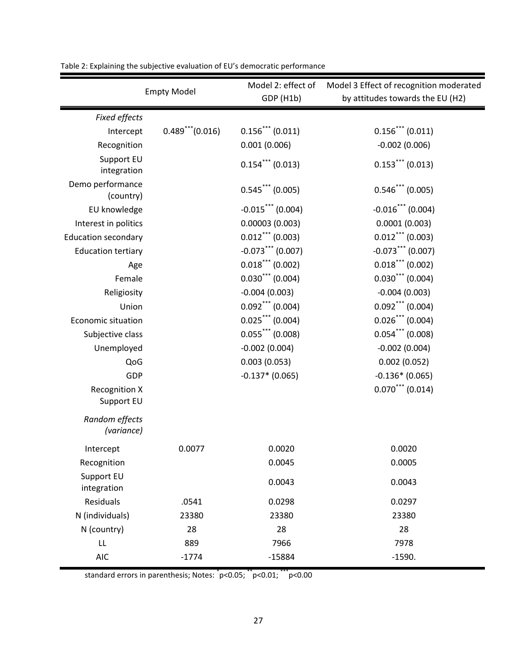| <b>Empty Model</b>                 |                       | Model 2: effect of   | Model 3 Effect of recognition moderated |
|------------------------------------|-----------------------|----------------------|-----------------------------------------|
|                                    |                       | GDP (H1b)            | by attitudes towards the EU (H2)        |
| Fixed effects                      |                       |                      |                                         |
| Intercept                          | $0.489$ *** $(0.016)$ | $0.156$ *** (0.011)  | $0.156***$ (0.011)                      |
| Recognition                        |                       | 0.001(0.006)         | $-0.002(0.006)$                         |
| Support EU<br>integration          |                       | $0.154$ (0.013)      | $0.153***$ (0.013)                      |
| Demo performance<br>(country)      |                       | $0.545***$ (0.005)   | $0.546$ *** (0.005)                     |
| EU knowledge                       |                       | $-0.015$ *** (0.004) | $-0.016$ <sup>***</sup> (0.004)         |
| Interest in politics               |                       | 0.00003(0.003)       | 0.0001(0.003)                           |
| <b>Education secondary</b>         |                       | $0.012$ *** (0.003)  | $0.012$ *** (0.003)                     |
| <b>Education tertiary</b>          |                       | $-0.073$ (0.007)     | $-0.073$ (0.007)                        |
| Age                                |                       | $0.018***$ (0.002)   | $0.018$ *** (0.002)                     |
| Female                             |                       | $0.030***$ (0.004)   | $0.030***$ (0.004)                      |
| Religiosity                        |                       | $-0.004(0.003)$      | $-0.004(0.003)$                         |
| Union                              |                       | $0.092$ *** (0.004)  | $0.092$ *** (0.004)                     |
| <b>Economic situation</b>          |                       | $0.025$ *** (0.004)  | $0.026$ *** (0.004)                     |
| Subjective class                   |                       | $0.055$ *** (0.008)  | $0.054$ *** (0.008)                     |
| Unemployed                         |                       | $-0.002(0.004)$      | $-0.002(0.004)$                         |
| QoG                                |                       | 0.003(0.053)         | 0.002(0.052)                            |
| GDP                                |                       | $-0.137*$ (0.065)    | $-0.136*(0.065)$                        |
| <b>Recognition X</b><br>Support EU |                       |                      | $0.070$ <sup>***</sup> (0.014)          |
| Random effects<br>(variance)       |                       |                      |                                         |
| Intercept                          | 0.0077                | 0.0020               | 0.0020                                  |
| Recognition                        |                       | 0.0045               | 0.0005                                  |
| Support EU<br>integration          |                       | 0.0043               | 0.0043                                  |
| Residuals                          | .0541                 | 0.0298               | 0.0297                                  |
| N (individuals)                    | 23380                 | 23380                | 23380                                   |
| N (country)                        | 28                    | 28                   | 28                                      |
| LL                                 | 889                   | 7966                 | 7978                                    |
| <b>AIC</b>                         | $-1774$               | $-15884$             | $-1590.$                                |

Table 2: Explaining the subjective evaluation of EU's democratic performance

standard errors in parenthesis; Notes: \* p<0.05; \*\*p<0.01; \*\*\*p<0.00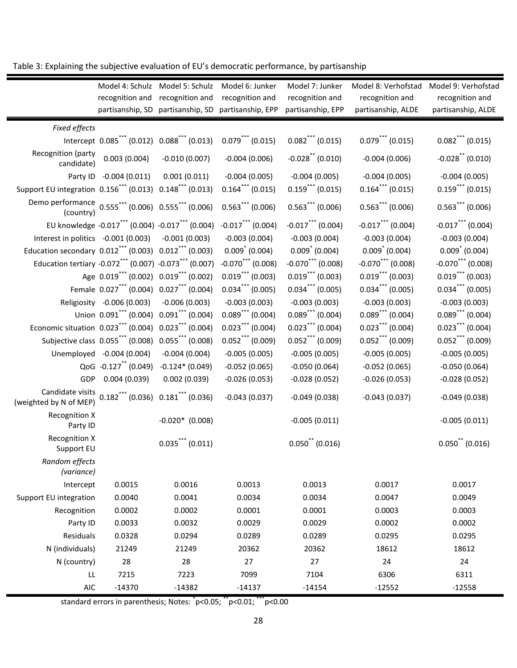| Table 3: Explaining the subjective evaluation of EU's democratic performance, by partisanship |  |
|-----------------------------------------------------------------------------------------------|--|
|-----------------------------------------------------------------------------------------------|--|

|                                                                 | Model 4: Schulz<br>recognition and<br>partisanship, SD | Model 5: Schulz<br>recognition and<br>partisanship, SD        | Model 6: Junker<br>recognition and<br>partisanship, EPP | Model 7: Junker<br>recognition and<br>partisanship, EPP | Model 8: Verhofstad<br>recognition and<br>partisanship, ALDE | Model 9: Verhofstad<br>recognition and<br>partisanship, ALDE |
|-----------------------------------------------------------------|--------------------------------------------------------|---------------------------------------------------------------|---------------------------------------------------------|---------------------------------------------------------|--------------------------------------------------------------|--------------------------------------------------------------|
| Fixed effects                                                   |                                                        |                                                               |                                                         |                                                         |                                                              |                                                              |
|                                                                 | Intercept 0.085*** (0.012)                             | $0.088$ (0.013)                                               | $0.079$ *** (0.015)                                     | $0.082$ (0.015)                                         | $0.079$ *** (0.015)                                          | $0.082$ *** (0.015)                                          |
| Recognition (party<br>candidate)                                | 0.003(0.004)                                           | $-0.010(0.007)$                                               | $-0.004(0.006)$                                         | $-0.028$ (0.010)                                        | $-0.004(0.006)$                                              | $-0.028$ (0.010)                                             |
|                                                                 | Party ID -0.004 (0.011)                                | 0.001(0.011)                                                  | $-0.004(0.005)$                                         | $-0.004(0.005)$                                         | $-0.004(0.005)$                                              | $-0.004(0.005)$                                              |
| Support EU integration 0.156 <sup>***</sup> (0.013)             |                                                        | $0.148$ (0.013)                                               | $0.164$ (0.015)                                         | $0.159$ (0.015)                                         | $0.164$ (0.015)                                              | $0.159$ (0.015)                                              |
| Demo performance 0.555*** (0.006) 0.555*** (0.006)<br>(country) |                                                        |                                                               | $0.563***$ (0.006)                                      | $0.563***$ (0.006)                                      | $0.563$ (0.006)                                              | $0.563$ (0.006)                                              |
|                                                                 |                                                        | EU knowledge -0.017*** (0.004) -0.017*** (0.004)              | $-0.017$ *** (0.004)                                    | $-0.017$ *** (0.004)                                    | $-0.017$ *** (0.004)                                         | $-0.017$ *** (0.004)                                         |
| Interest in politics -0.001 (0.003)                             |                                                        | $-0.001(0.003)$                                               | $-0.003(0.004)$                                         | $-0.003(0.004)$                                         | $-0.003(0.004)$                                              | $-0.003(0.004)$                                              |
| Education secondary 0.012*** (0.003) 0.012*** (0.003)           |                                                        |                                                               | $0.009^*$ (0.004)                                       | $0.009^* (0.004)$                                       | $0.009^* (0.004)$                                            | $0.009^*$ (0.004)                                            |
| Education tertiary -0.072*** (0.007) -0.073*** (0.007)          |                                                        |                                                               | $-0.070$ <sup>***</sup> (0.008)                         | $-0.070$ <sup>***</sup> (0.008)                         | $-0.070$ *** (0.008)                                         | $-0.070$ *** (0.008)                                         |
|                                                                 | Age 0.019*** (0.002) 0.019*** (0.002)                  |                                                               | $0.019$ *** (0.003)                                     | $0.019$ *** (0.003)                                     | $0.019$ (0.003)                                              | $0.019$ (0.003)                                              |
|                                                                 | Female 0.027 <sup>***</sup> (0.004)                    | $0.027$ *** (0.004)                                           | $0.034$ (0.005)                                         | $0.034$ (0.005)                                         | $0.034$ (0.005)                                              | $0.034$ (0.005)                                              |
|                                                                 | Religiosity -0.006 (0.003)                             | $-0.006(0.003)$                                               | $-0.003(0.003)$                                         | $-0.003(0.003)$                                         | $-0.003(0.003)$                                              | $-0.003(0.003)$                                              |
|                                                                 | Union 0.091*** (0.004)                                 | $0.091$ (0.004)                                               | $0.089$ *** (0.004)                                     | $0.089$ (0.004)                                         | $0.089$ *** (0.004)                                          | $0.089$ *** (0.004)                                          |
| Economic situation 0.023*** (0.004)                             |                                                        | $0.023$ (0.004)                                               | $0.023$ (0.004)                                         | $0.023***$ (0.004)                                      | $0.023$ (0.004)                                              | $0.023$ *** (0.004)                                          |
|                                                                 | Subjective class $0.055***$ (0.008)                    | $0.055$ *** (0.008)                                           | $0.052$ *** (0.009)                                     | $0.052$ *** (0.009)                                     | $0.052$ *** (0.009)                                          | $0.052$ *** (0.009)                                          |
|                                                                 | Unemployed -0.004 (0.004)                              | $-0.004(0.004)$                                               | $-0.005(0.005)$                                         | $-0.005(0.005)$                                         | $-0.005(0.005)$                                              | $-0.005(0.005)$                                              |
|                                                                 | QoG -0.127 <sup>**</sup> (0.049)                       | $-0.124*(0.049)$                                              | $-0.052(0.065)$                                         | $-0.050(0.064)$                                         | $-0.052(0.065)$                                              | $-0.050(0.064)$                                              |
| GDP                                                             | 0.004(0.039)                                           | 0.002(0.039)                                                  | $-0.026(0.053)$                                         | $-0.028(0.052)$                                         | $-0.026(0.053)$                                              | $-0.028(0.052)$                                              |
| Candidate visits<br>(weighted by N of MEP)                      |                                                        | $0.182$ <sup>***</sup> (0.036) $0.181$ <sup>***</sup> (0.036) | $-0.043(0.037)$                                         | $-0.049(0.038)$                                         | $-0.043(0.037)$                                              | $-0.049(0.038)$                                              |
| <b>Recognition X</b><br>Party ID                                |                                                        | $-0.020*$ (0.008)                                             |                                                         | $-0.005(0.011)$                                         |                                                              | $-0.005(0.011)$                                              |
| <b>Recognition X</b><br>Support EU                              |                                                        | $0.035***$ (0.011)                                            |                                                         | $0.050$ (0.016)                                         |                                                              | $0.050$ (0.016)                                              |
| Random effects<br>(variance)                                    |                                                        |                                                               |                                                         |                                                         |                                                              |                                                              |
| Intercept                                                       | 0.0015                                                 | 0.0016                                                        | 0.0013                                                  | 0.0013                                                  | 0.0017                                                       | 0.0017                                                       |
| Support EU integration                                          | 0.0040                                                 | 0.0041                                                        | 0.0034                                                  | 0.0034                                                  | 0.0047                                                       | 0.0049                                                       |
| Recognition                                                     | 0.0002                                                 | 0.0002                                                        | 0.0001                                                  | 0.0001                                                  | 0.0003                                                       | 0.0003                                                       |
| Party ID                                                        | 0.0033                                                 | 0.0032                                                        | 0.0029                                                  | 0.0029                                                  | 0.0002                                                       | 0.0002                                                       |
| Residuals                                                       | 0.0328                                                 | 0.0294                                                        | 0.0289                                                  | 0.0289                                                  | 0.0295                                                       | 0.0295                                                       |
| N (individuals)                                                 | 21249                                                  | 21249                                                         | 20362                                                   | 20362                                                   | 18612                                                        | 18612                                                        |
| N (country)                                                     | 28                                                     | 28                                                            | 27                                                      | 27                                                      | 24                                                           | 24                                                           |
| LL                                                              | 7215                                                   | 7223                                                          | 7099                                                    | 7104                                                    | 6306                                                         | 6311                                                         |
| AIC                                                             | $-14370$                                               | $-14382$                                                      | $-14137$                                                | $-14154$                                                | $-12552$                                                     | $-12558$                                                     |

standard errors in parenthesis; Notes: \* p<0.05; \*\*p<0.01; \*\*\*p<0.00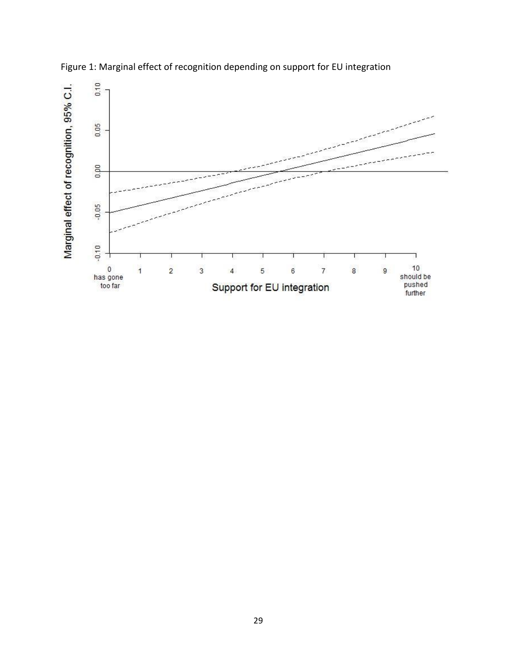

Figure 1: Marginal effect of recognition depending on support for EU integration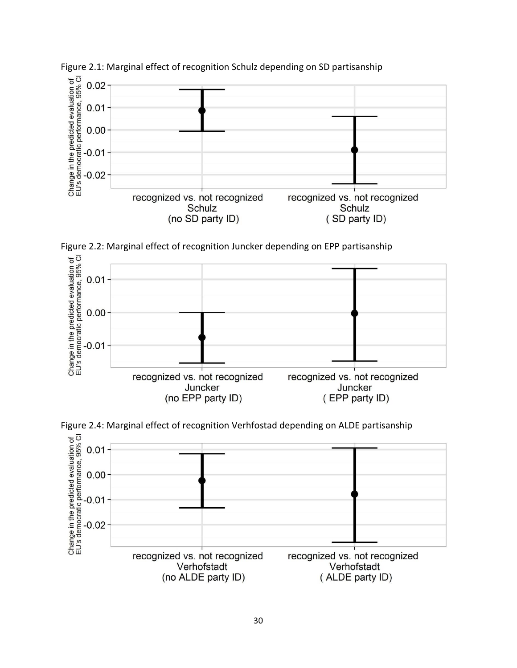







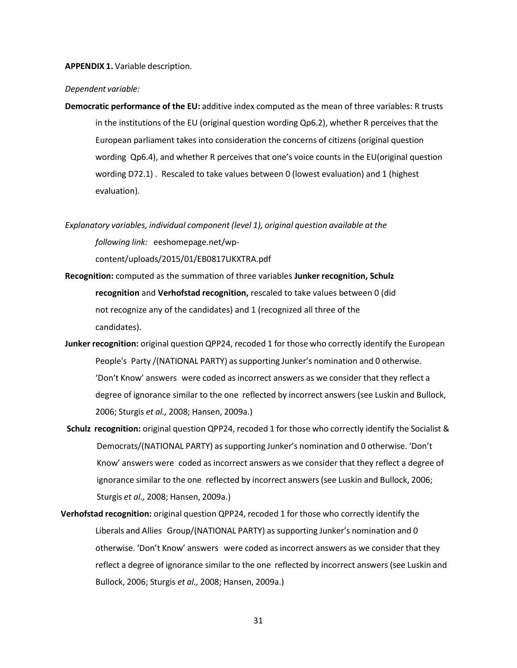**APPENDIX 1.** Variable description.

#### *Dependent variable:*

**Democratic performance of the EU:** additive index computed as the mean of three variables: R trusts in the institutions of the EU (original question wording Qp6.2), whether R perceives that the European parliament takes into consideration the concerns of citizens (original question wording Qp6.4), and whether R perceives that one's voice counts in the EU(original question wording D72.1) . Rescaled to take values between 0 (lowest evaluation) and 1 (highest evaluation).

*Explanatory variables, individual component (level 1), original question available at the following link:* eeshomepage.net/wp-

content/uploads/2015/01/EB0817UKXTRA.pdf

- **Recognition:** computed as the summation of three variables **Junker recognition, Schulz recognition** and **Verhofstad recognition,** rescaled to take values between 0 (did not recognize any of the candidates) and 1 (recognized all three of the candidates).
- **Junker recognition:** original question QPP24, recoded 1 for those who correctly identify the European People's Party /(NATIONAL PARTY) assupporting Junker's nomination and 0 otherwise. 'Don't Know' answers were coded as incorrect answers as we consider that they reflect a degree of ignorance similar to the one reflected by incorrect answers (see Luskin and Bullock, 2006; Sturgis *et al.,* 2008; Hansen, 2009a.)
- **Schulz recognition:** original question QPP24, recoded 1 for those who correctly identify the Socialist & Democrats/(NATIONAL PARTY) as supporting Junker's nomination and 0 otherwise. 'Don't Know' answers were coded as incorrect answers as we consider that they reflect a degree of ignorance similar to the one reflected by incorrect answers(see Luskin and Bullock, 2006; Sturgis *et al.,* 2008; Hansen, 2009a.)
- **Verhofstad recognition:** original question QPP24, recoded 1 for those who correctly identify the Liberals and Allies Group/(NATIONAL PARTY) as supporting Junker's nomination and 0 otherwise. 'Don't Know' answers were coded as incorrect answers as we consider that they reflect a degree of ignorance similar to the one reflected by incorrect answers (see Luskin and Bullock, 2006; Sturgis *et al.,* 2008; Hansen, 2009a.)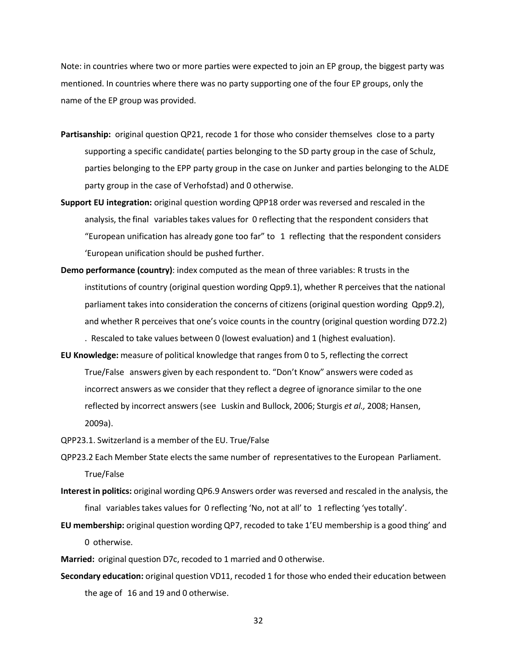Note: in countries where two or more parties were expected to join an EP group, the biggest party was mentioned. In countries where there was no party supporting one of the four EP groups, only the name of the EP group was provided.

- **Partisanship:** original question QP21, recode 1 for those who consider themselves close to a party supporting a specific candidate( parties belonging to the SD party group in the case of Schulz, parties belonging to the EPP party group in the case on Junker and parties belonging to the ALDE party group in the case of Verhofstad) and 0 otherwise.
- **Support EU integration:** original question wording QPP18 order wasreversed and rescaled in the analysis, the final variables takes values for 0 reflecting that the respondent considers that "European unification has already gone too far" to  $1$  reflecting that the respondent considers 'European unification should be pushed further.
- **Demo performance (country)**: index computed as the mean of three variables: R trusts in the institutions of country (original question wording Qpp9.1), whether R perceives that the national parliament takes into consideration the concerns of citizens (original question wording Qpp9.2), and whether R perceives that one's voice counts in the country (original question wording D72.2) . Rescaled to take values between 0 (lowest evaluation) and 1 (highest evaluation).
- **EU Knowledge:** measure of political knowledge that ranges from 0 to 5, reflecting the correct True/False answers given by each respondent to. "Don't Know" answers were coded as incorrect answers as we consider that they reflect a degree of ignorance similar to the one reflected by incorrect answers (see Luskin and Bullock, 2006; Sturgis *et al.,* 2008; Hansen, 2009a).

QPP23.1. Switzerland is a member of the EU. True/False

QPP23.2 Each Member State electsthe same number of representativesto the European Parliament. True/False

- **Interest in politics:** original wording QP6.9 Answers order was reversed and rescaled in the analysis, the final variablestakes values for 0 reflecting 'No, not at all' to 1 reflecting 'yes totally'.
- **EU membership:** original question wording QP7, recoded to take 1'EU membership is a good thing' and 0 otherwise.

**Married:** original question D7c, recoded to 1 married and 0 otherwise.

**Secondary education:** original question VD11, recoded 1 for those who ended their education between the age of 16 and 19 and 0 otherwise.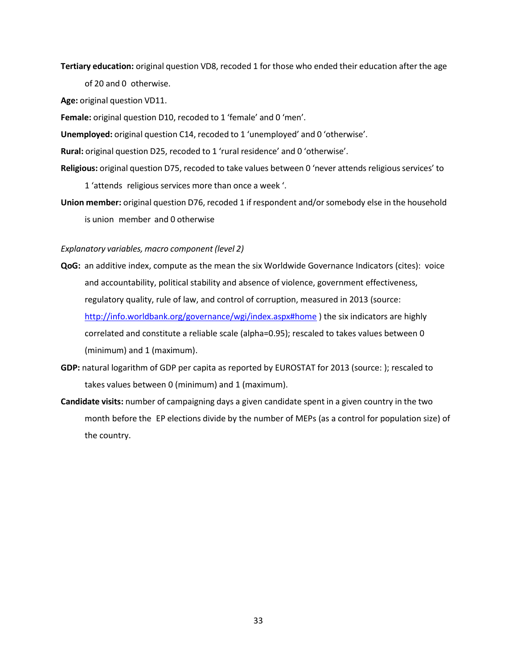**Tertiary education:** original question VD8, recoded 1 for those who ended their education after the age

of 20 and 0 otherwise.

**Age:** original question VD11.

**Female:** original question D10, recoded to 1 'female' and 0 'men'.

**Unemployed:** original question C14, recoded to 1 'unemployed' and 0 'otherwise'.

**Rural:** original question D25, recoded to 1 'rural residence' and 0 'otherwise'.

**Religious:** original question D75, recoded to take values between 0 'never attendsreligiousservices' to

1 'attends religious services more than once a week '.

**Union member:** original question D76, recoded 1 if respondent and/or somebody else in the household is union member and 0 otherwise

#### *Explanatory variables, macro component (level 2)*

- **QoG:** an additive index, compute as the mean the six Worldwide Governance Indicators (cites): voice and accountability, political stability and absence of violence, government effectiveness, regulatory quality, rule of law, and control of corruption, measured in 2013 (source: <http://info.worldbank.org/governance/wgi/index.aspx#home> ) the six indicators are highly correlated and constitute a reliable scale (alpha=0.95); rescaled to takes values between 0 (minimum) and 1 (maximum).
- **GDP:** natural logarithm of GDP per capita as reported by EUROSTAT for 2013 (source: ); rescaled to takes values between 0 (minimum) and 1 (maximum).
- **Candidate visits:** number of campaigning days a given candidate spent in a given country in the two month before the EP elections divide by the number of MEPs (as a control for population size) of the country.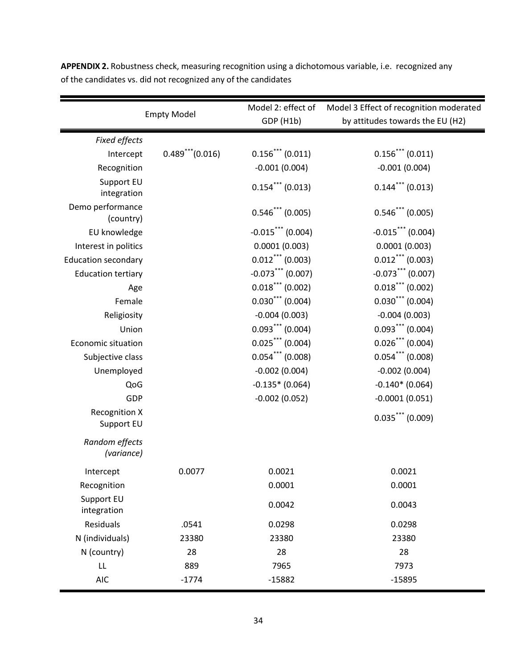| <b>Empty Model</b>                 |                                  | Model 2: effect of             | Model 3 Effect of recognition moderated |
|------------------------------------|----------------------------------|--------------------------------|-----------------------------------------|
|                                    |                                  | GDP (H1b)                      | by attitudes towards the EU (H2)        |
| Fixed effects                      |                                  |                                |                                         |
| Intercept                          | $0.489$ <sup>***</sup> $(0.016)$ | $0.156$ *** (0.011)            | $0.156$ (0.011)                         |
| Recognition                        |                                  | $-0.001(0.004)$                | $-0.001(0.004)$                         |
| Support EU<br>integration          |                                  | $0.154$ *** (0.013)            | $0.144$ *** (0.013)                     |
| Demo performance<br>(country)      |                                  | $0.546***$ (0.005)             | $0.546***$ (0.005)                      |
| EU knowledge                       |                                  | $-0.015$ *** (0.004)           | $-0.015$ *** (0.004)                    |
| Interest in politics               |                                  | 0.0001(0.003)                  | 0.0001(0.003)                           |
| <b>Education secondary</b>         |                                  | $0.012***$ (0.003)             | $0.012$ *** (0.003)                     |
| <b>Education tertiary</b>          |                                  | $-0.073$ *** (0.007)           | $-0.073$ *** (0.007)                    |
| Age                                |                                  | $0.018$ *** (0.002)            | $0.018$ *** (0.002)                     |
| Female                             |                                  | $0.030$ <sup>***</sup> (0.004) | $0.030$ <sup>***</sup> (0.004)          |
| Religiosity                        |                                  | $-0.004(0.003)$                | $-0.004(0.003)$                         |
| Union                              |                                  | $0.093***$ (0.004)             | $0.093***$ (0.004)                      |
| <b>Economic situation</b>          |                                  | $0.025***$ (0.004)             | $0.026$ *** (0.004)                     |
| Subjective class                   |                                  | $0.054$ *** (0.008)            | $0.054$ *** (0.008)                     |
| Unemployed                         |                                  | $-0.002(0.004)$                | $-0.002(0.004)$                         |
| QoG                                |                                  | $-0.135*(0.064)$               | $-0.140*(0.064)$                        |
| GDP                                |                                  | $-0.002(0.052)$                | $-0.0001(0.051)$                        |
| <b>Recognition X</b><br>Support EU |                                  |                                | $0.035$ *** (0.009)                     |
| Random effects<br>(variance)       |                                  |                                |                                         |
| Intercept                          | 0.0077                           | 0.0021                         | 0.0021                                  |
| Recognition                        |                                  | 0.0001                         | 0.0001                                  |
| Support EU<br>integration          |                                  | 0.0042                         | 0.0043                                  |
| Residuals                          | .0541                            | 0.0298                         | 0.0298                                  |
| N (individuals)                    | 23380                            | 23380                          | 23380                                   |
| N (country)                        | 28                               | 28                             | 28                                      |
| LL                                 | 889                              | 7965                           | 7973                                    |
| <b>AIC</b>                         | $-1774$                          | $-15882$                       | $-15895$                                |

**APPENDIX 2.** Robustness check, measuring recognition using a dichotomous variable, i.e. recognized any of the candidates vs. did not recognized any of the candidates